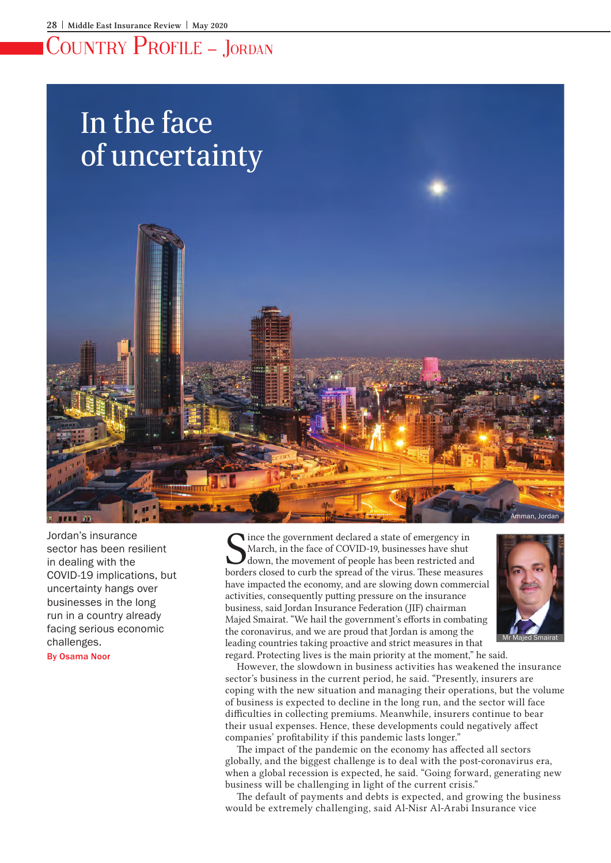# Country Profile – Jordan

# In the face of uncertainty



Jordan's insurance sector has been resilient in dealing with the COVID-19 implications, but uncertainty hangs over businesses in the long run in a country already facing serious economic challenges.

By Osama Noor

Since the government declared a state of emergency in March, in the face of COVID-19, businesses have shut down, the movement of people has been restricted and borders closed to curb the spread of the virus. These measures ince the government declared a state of emergency in March, in the face of COVID-19, businesses have shut down, the movement of people has been restricted and have impacted the economy, and are slowing down commercial activities, consequently putting pressure on the insurance business, said Jordan Insurance Federation (JIF) chairman Majed Smairat. "We hail the government's efforts in combating the coronavirus, and we are proud that Jordan is among the leading countries taking proactive and strict measures in that regard. Protecting lives is the main priority at the moment," he said.



However, the slowdown in business activities has weakened the insurance sector's business in the current period, he said. "Presently, insurers are coping with the new situation and managing their operations, but the volume of business is expected to decline in the long run, and the sector will face difficulties in collecting premiums. Meanwhile, insurers continue to bear their usual expenses. Hence, these developments could negatively affect companies' profitability if this pandemic lasts longer."

The impact of the pandemic on the economy has affected all sectors globally, and the biggest challenge is to deal with the post-coronavirus era, when a global recession is expected, he said. "Going forward, generating new business will be challenging in light of the current crisis."

The default of payments and debts is expected, and growing the business would be extremely challenging, said Al-Nisr Al-Arabi Insurance vice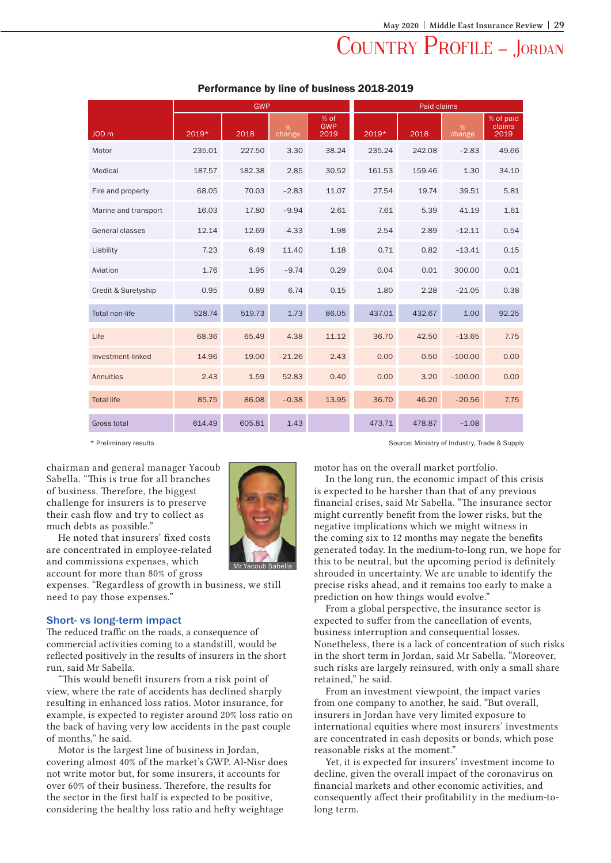# COUNTRY PROFILE - JORDAN

|                       | <b>GWP</b> |        |             |                            | <b>Paid claims</b> |        |             |                             |
|-----------------------|------------|--------|-------------|----------------------------|--------------------|--------|-------------|-----------------------------|
| JOD <sub>m</sub>      | 2019*      | 2018   | %<br>change | % of<br><b>GWP</b><br>2019 | 2019*              | 2018   | %<br>change | % of paid<br>claims<br>2019 |
| Motor                 | 235.01     | 227.50 | 3.30        | 38.24                      | 235.24             | 242.08 | $-2.83$     | 49.66                       |
| Medical               | 187.57     | 182.38 | 2.85        | 30.52                      | 161.53             | 159.46 | 1.30        | 34.10                       |
| Fire and property     | 68.05      | 70.03  | $-2.83$     | 11.07                      | 27.54              | 19.74  | 39.51       | 5.81                        |
| Marine and transport  | 16.03      | 17.80  | $-9.94$     | 2.61                       | 7.61               | 5.39   | 41.19       | 1.61                        |
| General classes       | 12.14      | 12.69  | $-4.33$     | 1.98                       | 2.54               | 2.89   | $-12.11$    | 0.54                        |
| Liability             | 7.23       | 6.49   | 11.40       | 1.18                       | 0.71               | 0.82   | $-13.41$    | 0.15                        |
| Aviation              | 1.76       | 1.95   | $-9.74$     | 0.29                       | 0.04               | 0.01   | 300.00      | 0.01                        |
| Credit & Suretyship   | 0.95       | 0.89   | 6.74        | 0.15                       | 1.80               | 2.28   | $-21.05$    | 0.38                        |
| <b>Total non-life</b> | 528.74     | 519.73 | 1.73        | 86.05                      | 437.01             | 432.67 | 1.00        | 92.25                       |
| Life                  | 68.36      | 65.49  | 4.38        | 11.12                      | 36.70              | 42.50  | $-13.65$    | 7.75                        |
| Investment-linked     | 14.96      | 19.00  | $-21.26$    | 2.43                       | 0.00               | 0.50   | $-100.00$   | 0.00                        |
| Annuities             | 2.43       | 1.59   | 52.83       | 0.40                       | 0.00               | 3.20   | $-100.00$   | 0.00                        |
| <b>Total life</b>     | 85.75      | 86.08  | $-0.38$     | 13.95                      | 36.70              | 46.20  | $-20.56$    | 7.75                        |
| <b>Gross total</b>    | 614.49     | 605.81 | 1.43        |                            | 473.71             | 478.87 | $-1.08$     |                             |

### Performance by line of business 2018-2019

chairman and general manager Yacoub Sabella. "This is true for all branches of business. Therefore, the biggest challenge for insurers is to preserve their cash flow and try to collect as much debts as possible."

He noted that insurers' fixed costs are concentrated in employee-related and commissions expenses, which account for more than 80% of gross

expenses. "Regardless of growth in business, we still need to pay those expenses."

### Short- vs long-term impact

The reduced traffic on the roads, a consequence of commercial activities coming to a standstill, would be reflected positively in the results of insurers in the short run, said Mr Sabella.

"This would benefit insurers from a risk point of view, where the rate of accidents has declined sharply resulting in enhanced loss ratios. Motor insurance, for example, is expected to register around 20% loss ratio on the back of having very low accidents in the past couple of months," he said.

Motor is the largest line of business in Jordan, covering almost 40% of the market's GWP. Al-Nisr does not write motor but, for some insurers, it accounts for over 60% of their business. Therefore, the results for the sector in the first half is expected to be positive, considering the healthy loss ratio and hefty weightage



\* Preliminary results Source: Ministry of Industry, Trade & Supply

motor has on the overall market portfolio.

In the long run, the economic impact of this crisis is expected to be harsher than that of any previous financial crises, said Mr Sabella. "The insurance sector might currently benefit from the lower risks, but the negative implications which we might witness in the coming six to 12 months may negate the benefits generated today. In the medium-to-long run, we hope for this to be neutral, but the upcoming period is definitely shrouded in uncertainty. We are unable to identify the precise risks ahead, and it remains too early to make a prediction on how things would evolve."

From a global perspective, the insurance sector is expected to suffer from the cancellation of events, business interruption and consequential losses. Nonetheless, there is a lack of concentration of such risks in the short term in Jordan, said Mr Sabella. "Moreover, such risks are largely reinsured, with only a small share retained," he said.

From an investment viewpoint, the impact varies from one company to another, he said. "But overall, insurers in Jordan have very limited exposure to international equities where most insurers' investments are concentrated in cash deposits or bonds, which pose reasonable risks at the moment."

Yet, it is expected for insurers' investment income to decline, given the overall impact of the coronavirus on financial markets and other economic activities, and consequently affect their profitability in the medium-tolong term.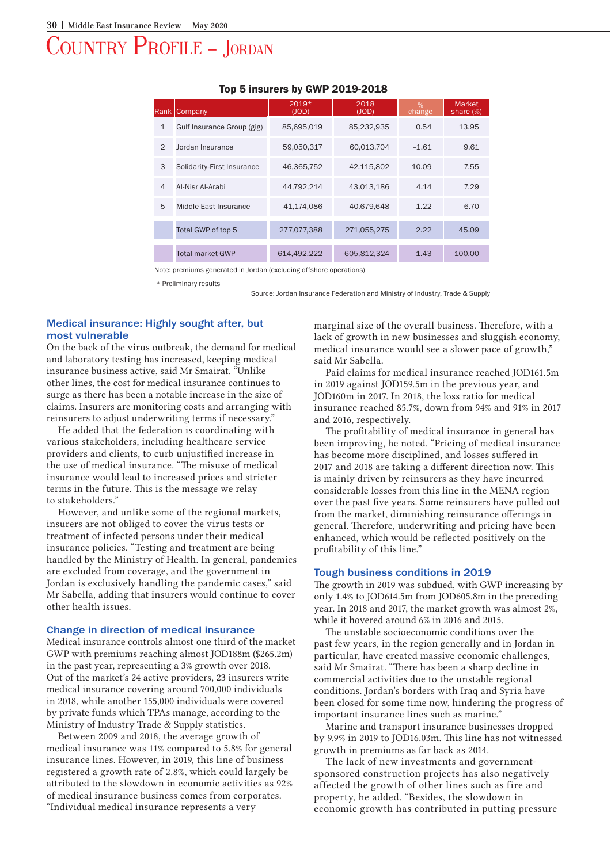# Country Profile – Jordan

| Rank           | Company                    | $2019*$<br>(JOD) | 2018<br>(JOD) | %<br>change | <b>Market</b><br>share (%) |
|----------------|----------------------------|------------------|---------------|-------------|----------------------------|
| $\mathbf{1}$   | Gulf Insurance Group (gig) | 85,695,019       | 85,232,935    | 0.54        | 13.95                      |
| $\mathcal{P}$  | Jordan Insurance           | 59,050,317       | 60,013,704    | $-1.61$     | 9.61                       |
| 3              | Solidarity-First Insurance | 46,365,752       | 42,115,802    | 10.09       | 7.55                       |
| $\overline{4}$ | Al-Nisr Al-Arabi           | 44,792,214       | 43,013,186    | 4.14        | 7.29                       |
| 5              | Middle East Insurance      | 41.174.086       | 40.679.648    | 1.22        | 6.70                       |
|                | Total GWP of top 5         | 277,077,388      | 271.055.275   | 2.22        | 45.09                      |
|                | <b>Total market GWP</b>    | 614.492.222      | 605.812.324   | 1.43        | 100.00                     |

### Top 5 insurers by GWP 2019-2018

Note: premiums generated in Jordan (excluding offshore operations)

\* Preliminary results

Source: Jordan Insurance Federation and Ministry of Industry, Trade & Supply

### Medical insurance: Highly sought after, but most vulnerable

On the back of the virus outbreak, the demand for medical and laboratory testing has increased, keeping medical insurance business active, said Mr Smairat. "Unlike other lines, the cost for medical insurance continues to surge as there has been a notable increase in the size of claims. Insurers are monitoring costs and arranging with reinsurers to adjust underwriting terms if necessary."

He added that the federation is coordinating with various stakeholders, including healthcare service providers and clients, to curb unjustified increase in the use of medical insurance. "The misuse of medical insurance would lead to increased prices and stricter terms in the future. This is the message we relay to stakeholders."

However, and unlike some of the regional markets, insurers are not obliged to cover the virus tests or treatment of infected persons under their medical insurance policies. "Testing and treatment are being handled by the Ministry of Health. In general, pandemics are excluded from coverage, and the government in Jordan is exclusively handling the pandemic cases," said Mr Sabella, adding that insurers would continue to cover other health issues.

#### Change in direction of medical insurance

Medical insurance controls almost one third of the market GWP with premiums reaching almost JOD188m (\$265.2m) in the past year, representing a 3% growth over 2018. Out of the market's 24 active providers, 23 insurers write medical insurance covering around 700,000 individuals in 2018, while another 155,000 individuals were covered by private funds which TPAs manage, according to the Ministry of Industry Trade & Supply statistics.

Between 2009 and 2018, the average growth of medical insurance was 11% compared to 5.8% for general insurance lines. However, in 2019, this line of business registered a growth rate of 2.8%, which could largely be attributed to the slowdown in economic activities as 92% of medical insurance business comes from corporates. "Individual medical insurance represents a very

marginal size of the overall business. Therefore, with a lack of growth in new businesses and sluggish economy, medical insurance would see a slower pace of growth," said Mr Sabella.

Paid claims for medical insurance reached JOD161.5m in 2019 against JOD159.5m in the previous year, and JOD160m in 2017. In 2018, the loss ratio for medical insurance reached 85.7%, down from 94% and 91% in 2017 and 2016, respectively.

The profitability of medical insurance in general has been improving, he noted. "Pricing of medical insurance has become more disciplined, and losses suffered in 2017 and 2018 are taking a different direction now. This is mainly driven by reinsurers as they have incurred considerable losses from this line in the MENA region over the past five years. Some reinsurers have pulled out from the market, diminishing reinsurance offerings in general. Therefore, underwriting and pricing have been enhanced, which would be reflected positively on the profitability of this line."

#### Tough business conditions in 2019

The growth in 2019 was subdued, with GWP increasing by only 1.4% to JOD614.5m from JOD605.8m in the preceding year. In 2018 and 2017, the market growth was almost 2%, while it hovered around 6% in 2016 and 2015.

The unstable socioeconomic conditions over the past few years, in the region generally and in Jordan in particular, have created massive economic challenges, said Mr Smairat. "There has been a sharp decline in commercial activities due to the unstable regional conditions. Jordan's borders with Iraq and Syria have been closed for some time now, hindering the progress of important insurance lines such as marine."

Marine and transport insurance businesses dropped by 9.9% in 2019 to JOD16.03m. This line has not witnessed growth in premiums as far back as 2014.

The lack of new investments and governmentsponsored construction projects has also negatively affected the growth of other lines such as fire and property, he added. "Besides, the slowdown in economic growth has contributed in putting pressure